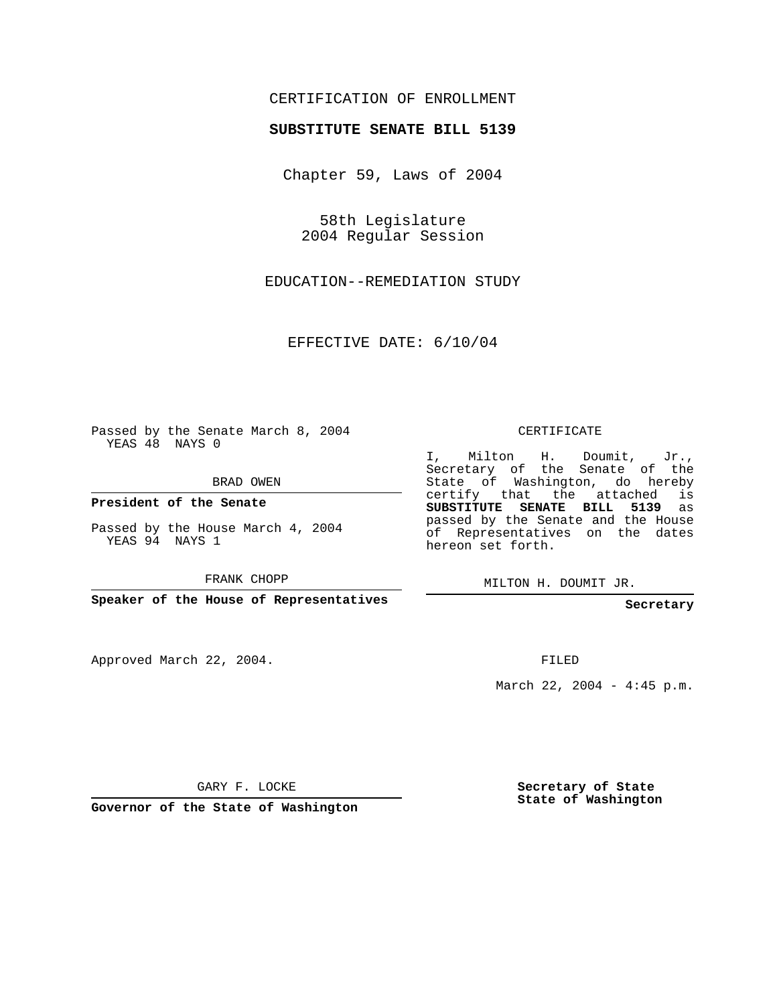## CERTIFICATION OF ENROLLMENT

## **SUBSTITUTE SENATE BILL 5139**

Chapter 59, Laws of 2004

58th Legislature 2004 Regular Session

EDUCATION--REMEDIATION STUDY

EFFECTIVE DATE: 6/10/04

Passed by the Senate March 8, 2004 YEAS 48 NAYS 0

BRAD OWEN

**President of the Senate**

Passed by the House March 4, 2004 YEAS 94 NAYS 1

FRANK CHOPP

**Speaker of the House of Representatives**

Approved March 22, 2004.

CERTIFICATE

I, Milton H. Doumit, Jr., Secretary of the Senate of the State of Washington, do hereby certify that the attached is **SUBSTITUTE SENATE BILL 5139** as passed by the Senate and the House of Representatives on the dates hereon set forth.

MILTON H. DOUMIT JR.

**Secretary**

FILED

March 22, 2004 - 4:45 p.m.

GARY F. LOCKE

**Governor of the State of Washington**

**Secretary of State State of Washington**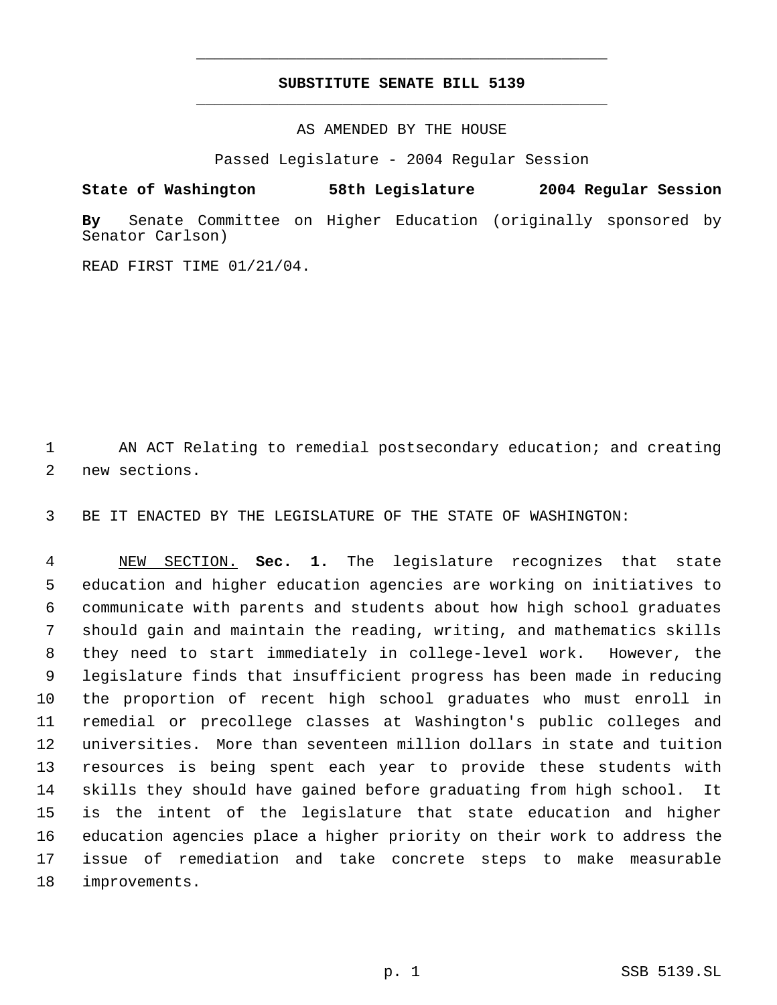## **SUBSTITUTE SENATE BILL 5139** \_\_\_\_\_\_\_\_\_\_\_\_\_\_\_\_\_\_\_\_\_\_\_\_\_\_\_\_\_\_\_\_\_\_\_\_\_\_\_\_\_\_\_\_\_

\_\_\_\_\_\_\_\_\_\_\_\_\_\_\_\_\_\_\_\_\_\_\_\_\_\_\_\_\_\_\_\_\_\_\_\_\_\_\_\_\_\_\_\_\_

AS AMENDED BY THE HOUSE

Passed Legislature - 2004 Regular Session

**State of Washington 58th Legislature 2004 Regular Session**

**By** Senate Committee on Higher Education (originally sponsored by Senator Carlson)

READ FIRST TIME 01/21/04.

 AN ACT Relating to remedial postsecondary education; and creating new sections.

BE IT ENACTED BY THE LEGISLATURE OF THE STATE OF WASHINGTON:

 NEW SECTION. **Sec. 1.** The legislature recognizes that state education and higher education agencies are working on initiatives to communicate with parents and students about how high school graduates should gain and maintain the reading, writing, and mathematics skills they need to start immediately in college-level work. However, the legislature finds that insufficient progress has been made in reducing the proportion of recent high school graduates who must enroll in remedial or precollege classes at Washington's public colleges and universities. More than seventeen million dollars in state and tuition resources is being spent each year to provide these students with skills they should have gained before graduating from high school. It is the intent of the legislature that state education and higher education agencies place a higher priority on their work to address the issue of remediation and take concrete steps to make measurable improvements.